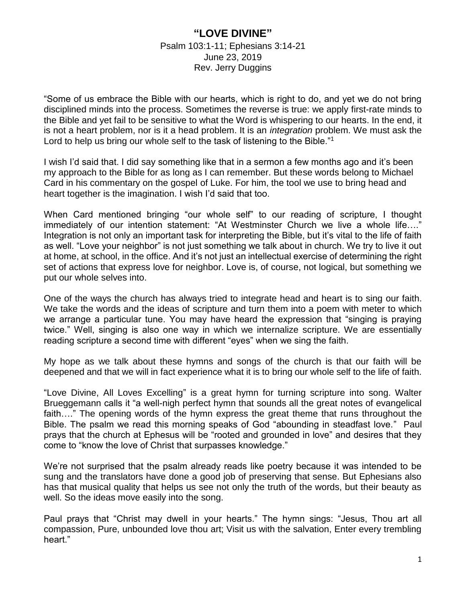## **"LOVE DIVINE"** Psalm 103:1-11; Ephesians 3:14-21 June 23, 2019 Rev. Jerry Duggins

"Some of us embrace the Bible with our hearts, which is right to do, and yet we do not bring disciplined minds into the process. Sometimes the reverse is true: we apply first-rate minds to the Bible and yet fail to be sensitive to what the Word is whispering to our hearts. In the end, it is not a heart problem, nor is it a head problem. It is an *integration* problem. We must ask the Lord to help us bring our whole self to the task of listening to the Bible."<sup>1</sup>

I wish I'd said that. I did say something like that in a sermon a few months ago and it's been my approach to the Bible for as long as I can remember. But these words belong to Michael Card in his commentary on the gospel of Luke. For him, the tool we use to bring head and heart together is the imagination. I wish I'd said that too.

When Card mentioned bringing "our whole self" to our reading of scripture, I thought immediately of our intention statement: "At Westminster Church we live a whole life…." Integration is not only an important task for interpreting the Bible, but it's vital to the life of faith as well. "Love your neighbor" is not just something we talk about in church. We try to live it out at home, at school, in the office. And it's not just an intellectual exercise of determining the right set of actions that express love for neighbor. Love is, of course, not logical, but something we put our whole selves into.

One of the ways the church has always tried to integrate head and heart is to sing our faith. We take the words and the ideas of scripture and turn them into a poem with meter to which we arrange a particular tune. You may have heard the expression that "singing is praying twice." Well, singing is also one way in which we internalize scripture. We are essentially reading scripture a second time with different "eyes" when we sing the faith.

My hope as we talk about these hymns and songs of the church is that our faith will be deepened and that we will in fact experience what it is to bring our whole self to the life of faith.

"Love Divine, All Loves Excelling" is a great hymn for turning scripture into song. Walter Brueggemann calls it "a well-nigh perfect hymn that sounds all the great notes of evangelical faith…." The opening words of the hymn express the great theme that runs throughout the Bible. The psalm we read this morning speaks of God "abounding in steadfast love." Paul prays that the church at Ephesus will be "rooted and grounded in love" and desires that they come to "know the love of Christ that surpasses knowledge."

We're not surprised that the psalm already reads like poetry because it was intended to be sung and the translators have done a good job of preserving that sense. But Ephesians also has that musical quality that helps us see not only the truth of the words, but their beauty as well. So the ideas move easily into the song.

Paul prays that "Christ may dwell in your hearts." The hymn sings: "Jesus, Thou art all compassion, Pure, unbounded love thou art; Visit us with the salvation, Enter every trembling heart."